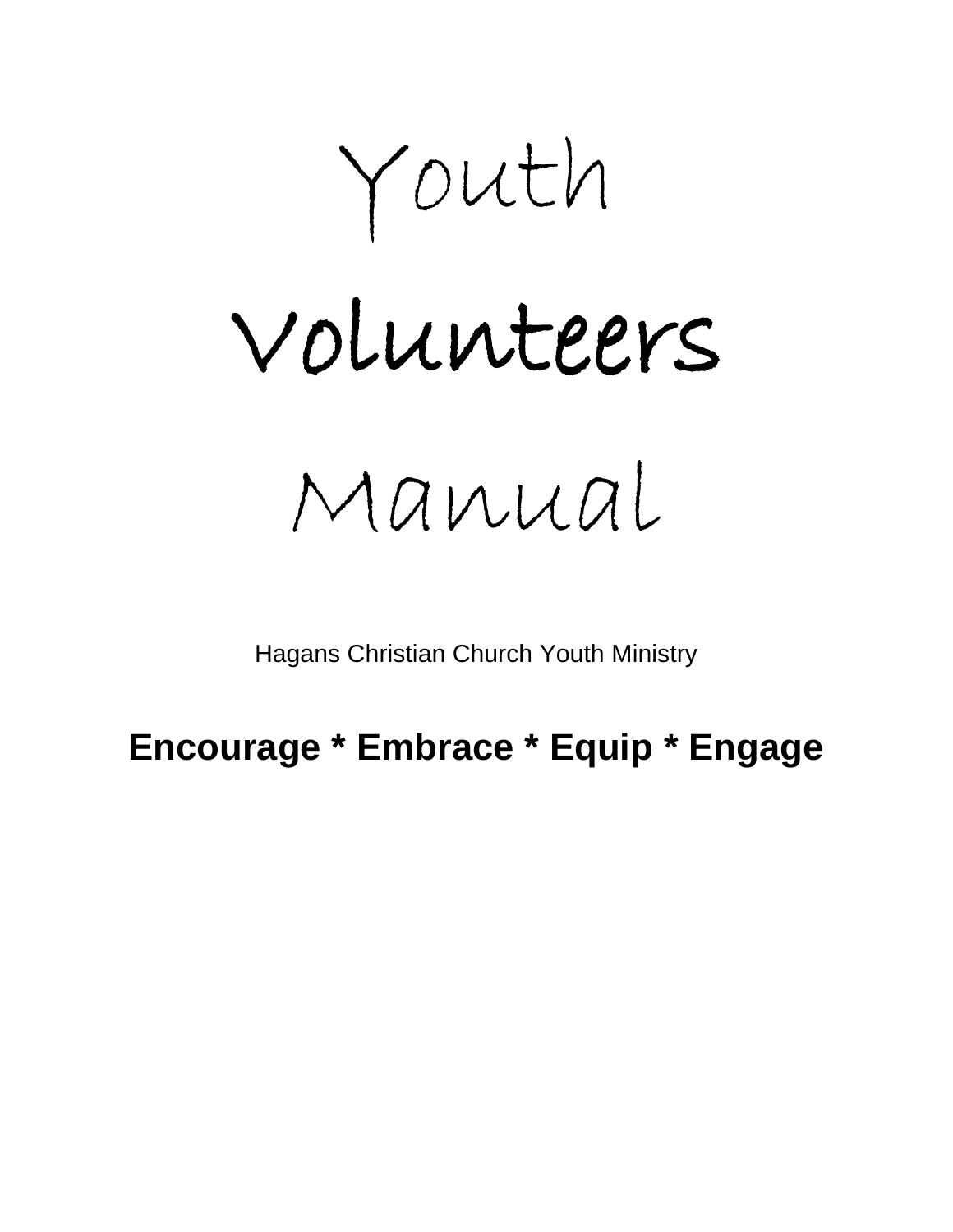Youth

# Volunteers

Manual

Hagans Christian Church Youth Ministry

# **Encourage \* Embrace \* Equip \* Engage**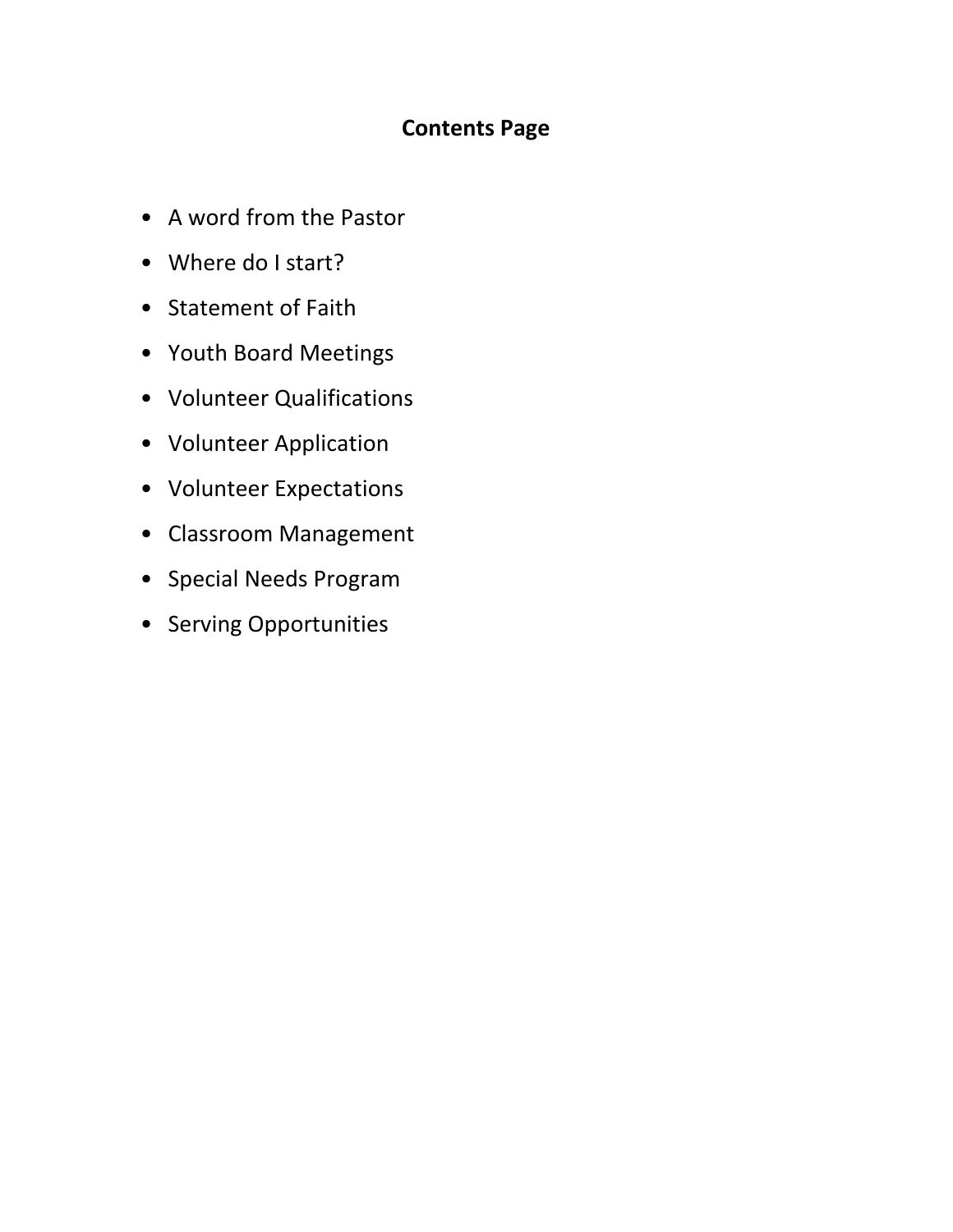# **Contents Page**

- A word from the Pastor
- Where do I start?
- Statement of Faith
- Youth Board Meetings
- Volunteer Qualifications
- Volunteer Application
- Volunteer Expectations
- Classroom Management
- Special Needs Program
- Serving Opportunities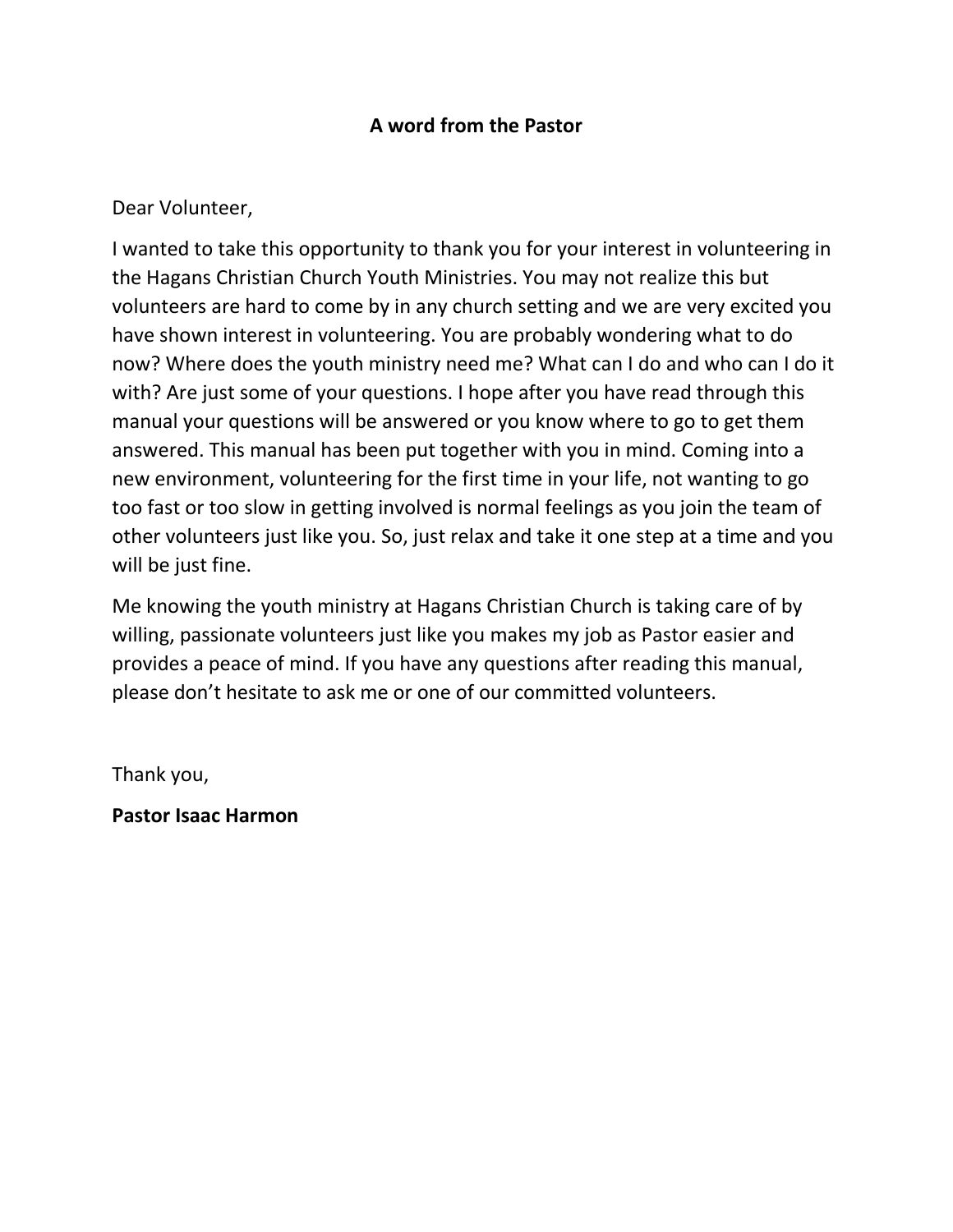# **A word from the Pastor**

# Dear Volunteer,

I wanted to take this opportunity to thank you for your interest in volunteering in the Hagans Christian Church Youth Ministries. You may not realize this but volunteers are hard to come by in any church setting and we are very excited you have shown interest in volunteering. You are probably wondering what to do now? Where does the youth ministry need me? What can I do and who can I do it with? Are just some of your questions. I hope after you have read through this manual your questions will be answered or you know where to go to get them answered. This manual has been put together with you in mind. Coming into a new environment, volunteering for the first time in your life, not wanting to go too fast or too slow in getting involved is normal feelings as you join the team of other volunteers just like you. So, just relax and take it one step at a time and you will be just fine.

Me knowing the youth ministry at Hagans Christian Church is taking care of by willing, passionate volunteers just like you makes my job as Pastor easier and provides a peace of mind. If you have any questions after reading this manual, please don't hesitate to ask me or one of our committed volunteers.

Thank you,

**Pastor Isaac Harmon**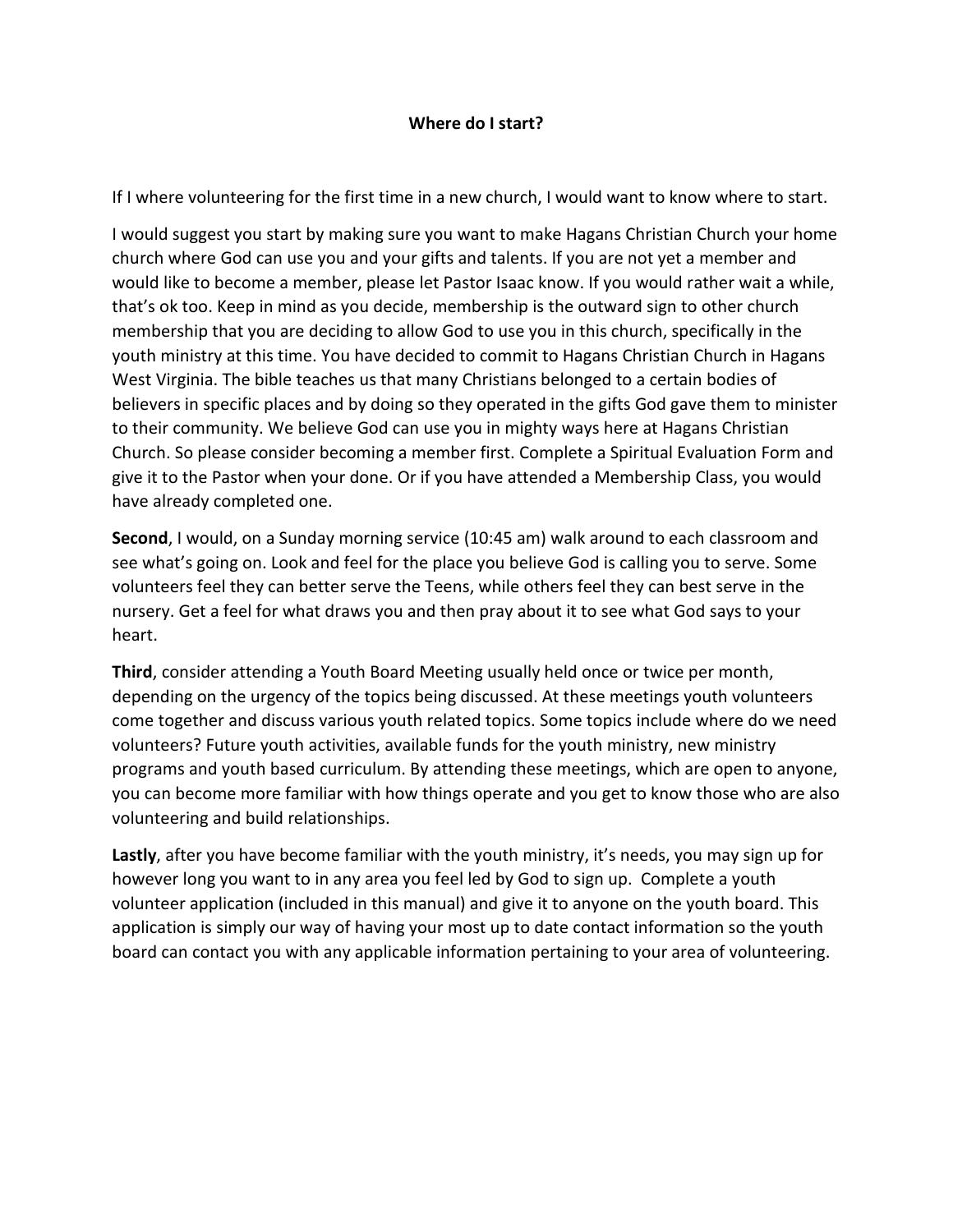#### **Where do I start?**

If I where volunteering for the first time in a new church, I would want to know where to start.

I would suggest you start by making sure you want to make Hagans Christian Church your home church where God can use you and your gifts and talents. If you are not yet a member and would like to become a member, please let Pastor Isaac know. If you would rather wait a while, that's ok too. Keep in mind as you decide, membership is the outward sign to other church membership that you are deciding to allow God to use you in this church, specifically in the youth ministry at this time. You have decided to commit to Hagans Christian Church in Hagans West Virginia. The bible teaches us that many Christians belonged to a certain bodies of believers in specific places and by doing so they operated in the gifts God gave them to minister to their community. We believe God can use you in mighty ways here at Hagans Christian Church. So please consider becoming a member first. Complete a Spiritual Evaluation Form and give it to the Pastor when your done. Or if you have attended a Membership Class, you would have already completed one.

**Second**, I would, on a Sunday morning service (10:45 am) walk around to each classroom and see what's going on. Look and feel for the place you believe God is calling you to serve. Some volunteers feel they can better serve the Teens, while others feel they can best serve in the nursery. Get a feel for what draws you and then pray about it to see what God says to your heart.

**Third**, consider attending a Youth Board Meeting usually held once or twice per month, depending on the urgency of the topics being discussed. At these meetings youth volunteers come together and discuss various youth related topics. Some topics include where do we need volunteers? Future youth activities, available funds for the youth ministry, new ministry programs and youth based curriculum. By attending these meetings, which are open to anyone, you can become more familiar with how things operate and you get to know those who are also volunteering and build relationships.

Lastly, after you have become familiar with the youth ministry, it's needs, you may sign up for however long you want to in any area you feel led by God to sign up. Complete a youth volunteer application (included in this manual) and give it to anyone on the youth board. This application is simply our way of having your most up to date contact information so the youth board can contact you with any applicable information pertaining to your area of volunteering.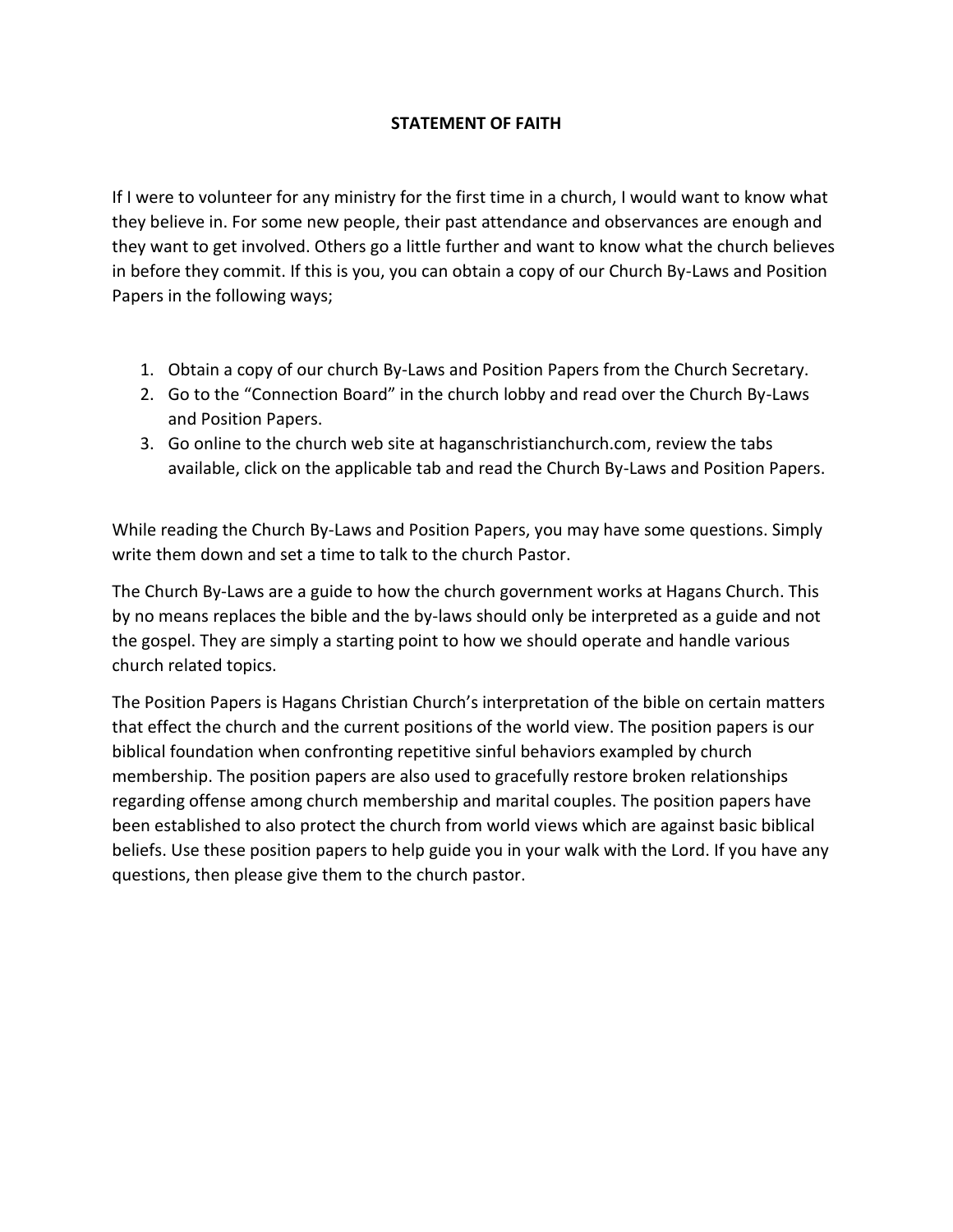# **STATEMENT OF FAITH**

If I were to volunteer for any ministry for the first time in a church, I would want to know what they believe in. For some new people, their past attendance and observances are enough and they want to get involved. Others go a little further and want to know what the church believes in before they commit. If this is you, you can obtain a copy of our Church By-Laws and Position Papers in the following ways;

- 1. Obtain a copy of our church By-Laws and Position Papers from the Church Secretary.
- 2. Go to the "Connection Board" in the church lobby and read over the Church By-Laws and Position Papers.
- 3. Go online to the church web site at haganschristianchurch.com, review the tabs available, click on the applicable tab and read the Church By-Laws and Position Papers.

While reading the Church By-Laws and Position Papers, you may have some questions. Simply write them down and set a time to talk to the church Pastor.

The Church By-Laws are a guide to how the church government works at Hagans Church. This by no means replaces the bible and the by-laws should only be interpreted as a guide and not the gospel. They are simply a starting point to how we should operate and handle various church related topics.

The Position Papers is Hagans Christian Church's interpretation of the bible on certain matters that effect the church and the current positions of the world view. The position papers is our biblical foundation when confronting repetitive sinful behaviors exampled by church membership. The position papers are also used to gracefully restore broken relationships regarding offense among church membership and marital couples. The position papers have been established to also protect the church from world views which are against basic biblical beliefs. Use these position papers to help guide you in your walk with the Lord. If you have any questions, then please give them to the church pastor.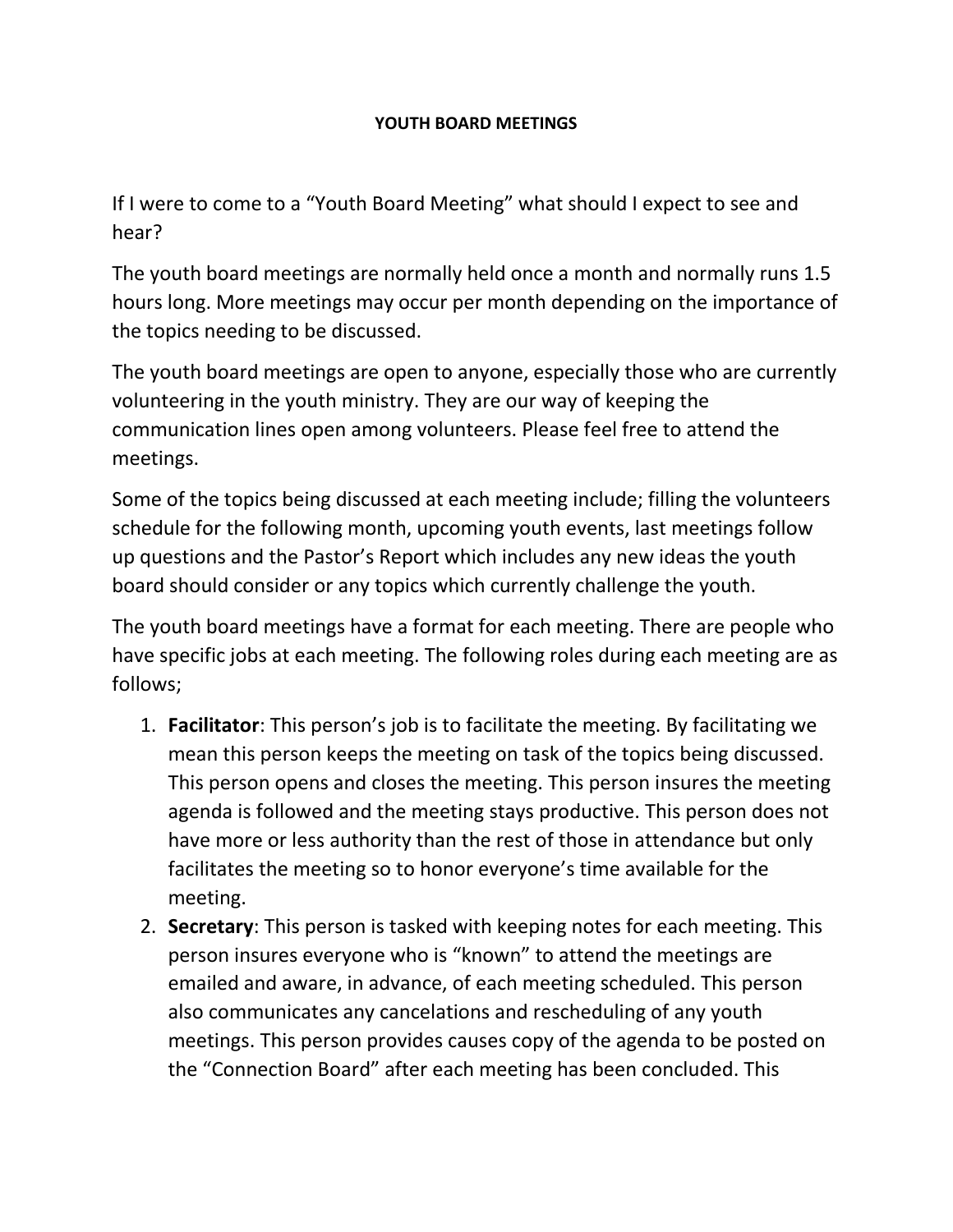# **YOUTH BOARD MEETINGS**

If I were to come to a "Youth Board Meeting" what should I expect to see and hear?

The youth board meetings are normally held once a month and normally runs 1.5 hours long. More meetings may occur per month depending on the importance of the topics needing to be discussed.

The youth board meetings are open to anyone, especially those who are currently volunteering in the youth ministry. They are our way of keeping the communication lines open among volunteers. Please feel free to attend the meetings.

Some of the topics being discussed at each meeting include; filling the volunteers schedule for the following month, upcoming youth events, last meetings follow up questions and the Pastor's Report which includes any new ideas the youth board should consider or any topics which currently challenge the youth.

The youth board meetings have a format for each meeting. There are people who have specific jobs at each meeting. The following roles during each meeting are as follows;

- 1. **Facilitator**: This person's job is to facilitate the meeting. By facilitating we mean this person keeps the meeting on task of the topics being discussed. This person opens and closes the meeting. This person insures the meeting agenda is followed and the meeting stays productive. This person does not have more or less authority than the rest of those in attendance but only facilitates the meeting so to honor everyone's time available for the meeting.
- 2. **Secretary**: This person is tasked with keeping notes for each meeting. This person insures everyone who is "known" to attend the meetings are emailed and aware, in advance, of each meeting scheduled. This person also communicates any cancelations and rescheduling of any youth meetings. This person provides causes copy of the agenda to be posted on the "Connection Board" after each meeting has been concluded. This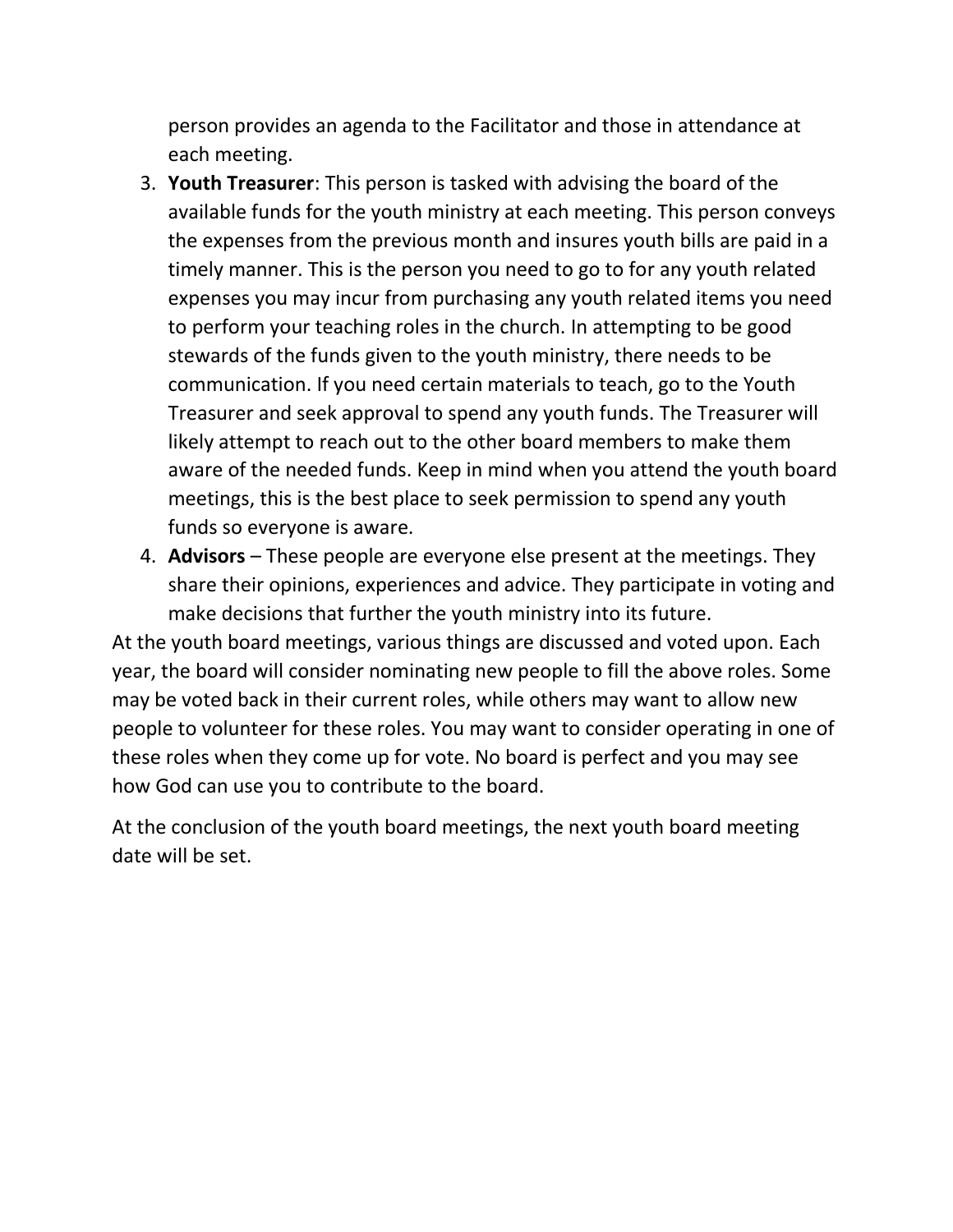person provides an agenda to the Facilitator and those in attendance at each meeting.

- 3. **Youth Treasurer**: This person is tasked with advising the board of the available funds for the youth ministry at each meeting. This person conveys the expenses from the previous month and insures youth bills are paid in a timely manner. This is the person you need to go to for any youth related expenses you may incur from purchasing any youth related items you need to perform your teaching roles in the church. In attempting to be good stewards of the funds given to the youth ministry, there needs to be communication. If you need certain materials to teach, go to the Youth Treasurer and seek approval to spend any youth funds. The Treasurer will likely attempt to reach out to the other board members to make them aware of the needed funds. Keep in mind when you attend the youth board meetings, this is the best place to seek permission to spend any youth funds so everyone is aware.
- 4. **Advisors**  These people are everyone else present at the meetings. They share their opinions, experiences and advice. They participate in voting and make decisions that further the youth ministry into its future.

At the youth board meetings, various things are discussed and voted upon. Each year, the board will consider nominating new people to fill the above roles. Some may be voted back in their current roles, while others may want to allow new people to volunteer for these roles. You may want to consider operating in one of these roles when they come up for vote. No board is perfect and you may see how God can use you to contribute to the board.

At the conclusion of the youth board meetings, the next youth board meeting date will be set.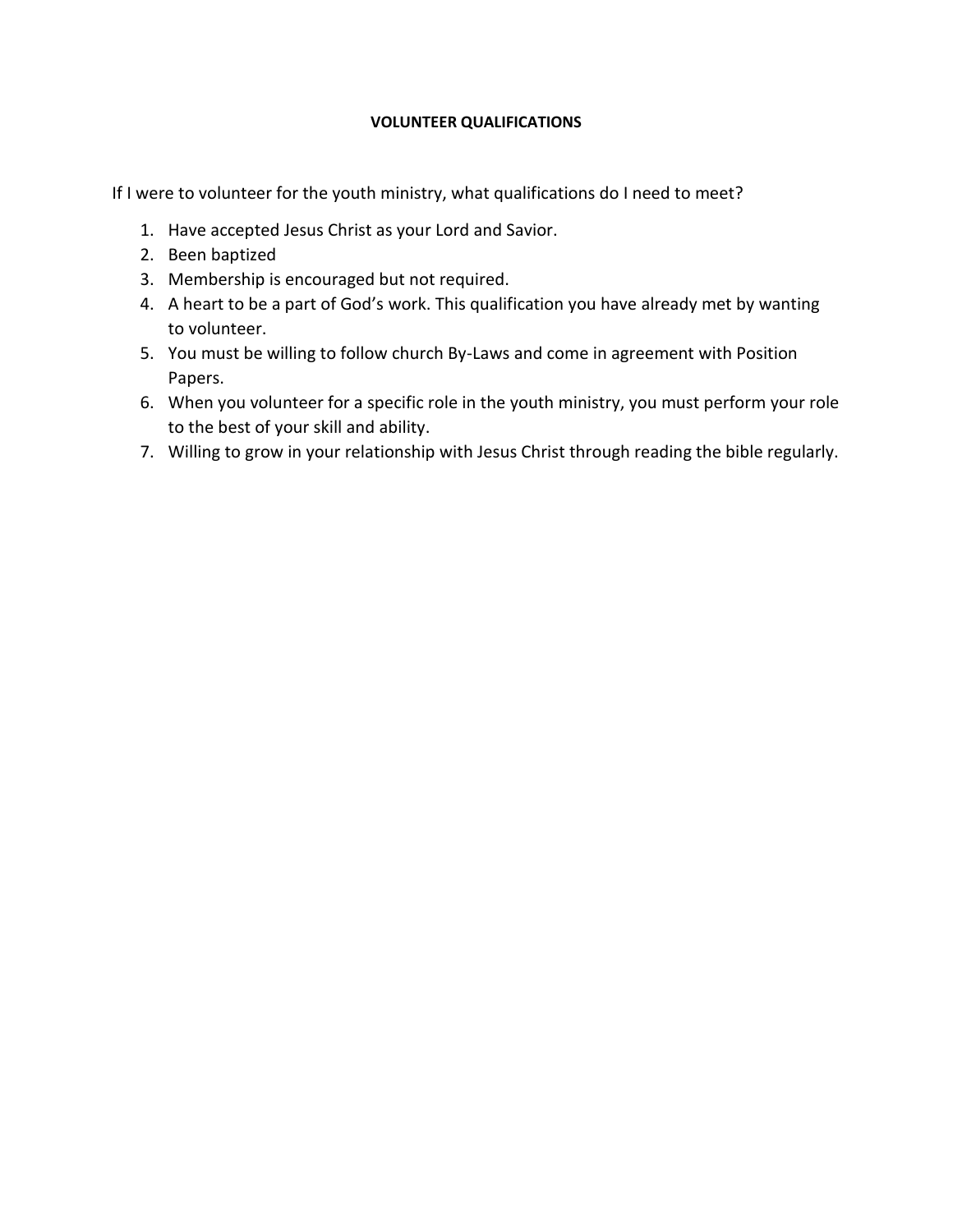#### **VOLUNTEER QUALIFICATIONS**

If I were to volunteer for the youth ministry, what qualifications do I need to meet?

- 1. Have accepted Jesus Christ as your Lord and Savior.
- 2. Been baptized
- 3. Membership is encouraged but not required.
- 4. A heart to be a part of God's work. This qualification you have already met by wanting to volunteer.
- 5. You must be willing to follow church By-Laws and come in agreement with Position Papers.
- 6. When you volunteer for a specific role in the youth ministry, you must perform your role to the best of your skill and ability.
- 7. Willing to grow in your relationship with Jesus Christ through reading the bible regularly.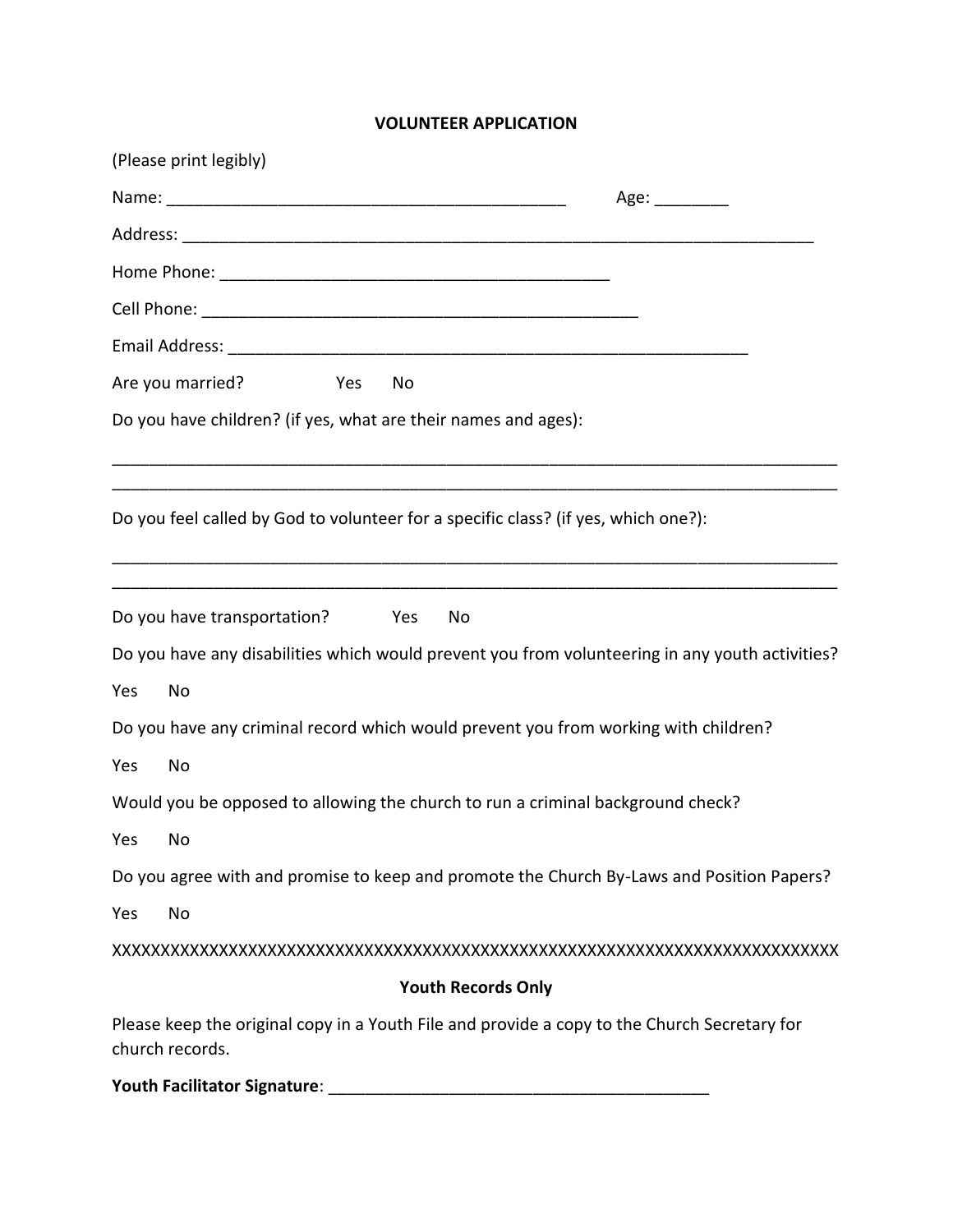# **VOLUNTEER APPLICATION**

| (Please print legibly)                                                                                          |  |
|-----------------------------------------------------------------------------------------------------------------|--|
| Age: _________                                                                                                  |  |
|                                                                                                                 |  |
|                                                                                                                 |  |
|                                                                                                                 |  |
|                                                                                                                 |  |
| Are you married?<br>Yes<br>No                                                                                   |  |
| Do you have children? (if yes, what are their names and ages):                                                  |  |
| Do you feel called by God to volunteer for a specific class? (if yes, which one?):                              |  |
| Do you have transportation?<br>Yes<br>No                                                                        |  |
| Do you have any disabilities which would prevent you from volunteering in any youth activities?                 |  |
| No<br>Yes                                                                                                       |  |
| Do you have any criminal record which would prevent you from working with children?                             |  |
| Yes<br>No                                                                                                       |  |
| Would you be opposed to allowing the church to run a criminal background check?                                 |  |
| Yes<br>No                                                                                                       |  |
| Do you agree with and promise to keep and promote the Church By-Laws and Position Papers?                       |  |
| No<br>Yes                                                                                                       |  |
|                                                                                                                 |  |
| <b>Youth Records Only</b>                                                                                       |  |
| Please keep the original copy in a Youth File and provide a copy to the Church Secretary for<br>church records. |  |
| Youth Facilitator Signature:                                                                                    |  |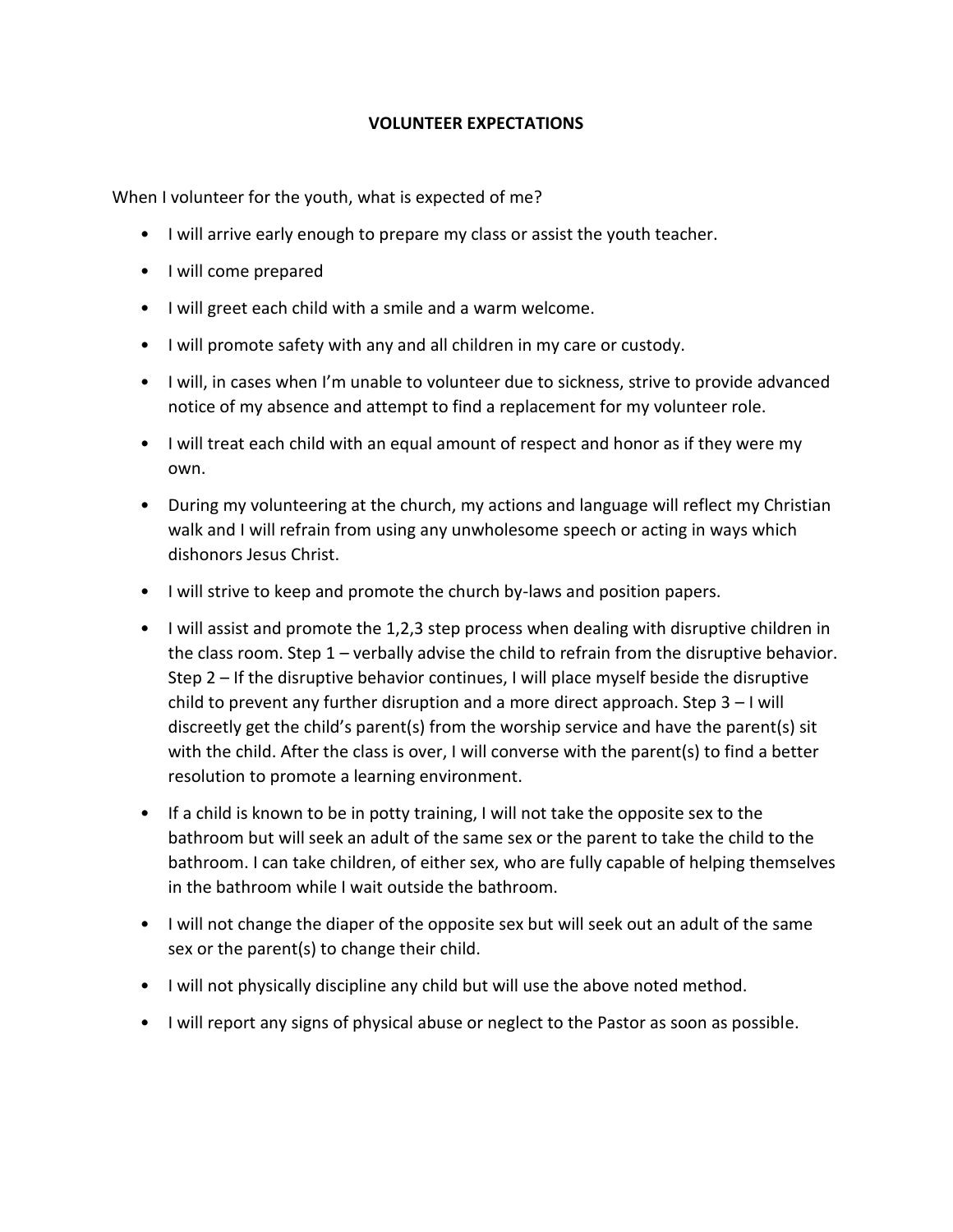## **VOLUNTEER EXPECTATIONS**

When I volunteer for the youth, what is expected of me?

- I will arrive early enough to prepare my class or assist the youth teacher.
- I will come prepared
- I will greet each child with a smile and a warm welcome.
- I will promote safety with any and all children in my care or custody.
- I will, in cases when I'm unable to volunteer due to sickness, strive to provide advanced notice of my absence and attempt to find a replacement for my volunteer role.
- I will treat each child with an equal amount of respect and honor as if they were my own.
- During my volunteering at the church, my actions and language will reflect my Christian walk and I will refrain from using any unwholesome speech or acting in ways which dishonors Jesus Christ.
- I will strive to keep and promote the church by-laws and position papers.
- I will assist and promote the 1,2,3 step process when dealing with disruptive children in the class room. Step 1 – verbally advise the child to refrain from the disruptive behavior. Step 2 – If the disruptive behavior continues, I will place myself beside the disruptive child to prevent any further disruption and a more direct approach. Step 3 – I will discreetly get the child's parent(s) from the worship service and have the parent(s) sit with the child. After the class is over, I will converse with the parent(s) to find a better resolution to promote a learning environment.
- If a child is known to be in potty training, I will not take the opposite sex to the bathroom but will seek an adult of the same sex or the parent to take the child to the bathroom. I can take children, of either sex, who are fully capable of helping themselves in the bathroom while I wait outside the bathroom.
- I will not change the diaper of the opposite sex but will seek out an adult of the same sex or the parent(s) to change their child.
- I will not physically discipline any child but will use the above noted method.
- I will report any signs of physical abuse or neglect to the Pastor as soon as possible.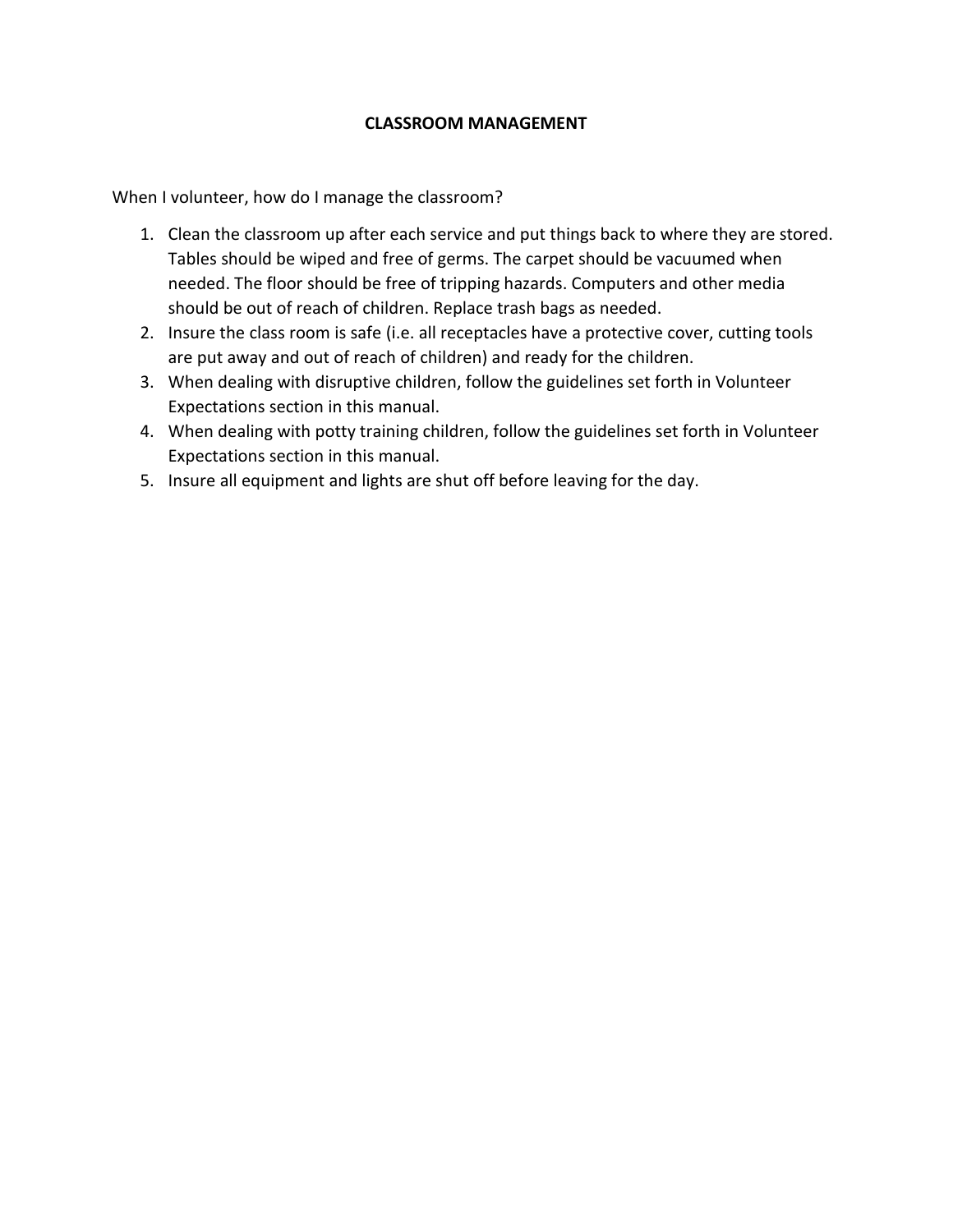### **CLASSROOM MANAGEMENT**

When I volunteer, how do I manage the classroom?

- 1. Clean the classroom up after each service and put things back to where they are stored. Tables should be wiped and free of germs. The carpet should be vacuumed when needed. The floor should be free of tripping hazards. Computers and other media should be out of reach of children. Replace trash bags as needed.
- 2. Insure the class room is safe (i.e. all receptacles have a protective cover, cutting tools are put away and out of reach of children) and ready for the children.
- 3. When dealing with disruptive children, follow the guidelines set forth in Volunteer Expectations section in this manual.
- 4. When dealing with potty training children, follow the guidelines set forth in Volunteer Expectations section in this manual.
- 5. Insure all equipment and lights are shut off before leaving for the day.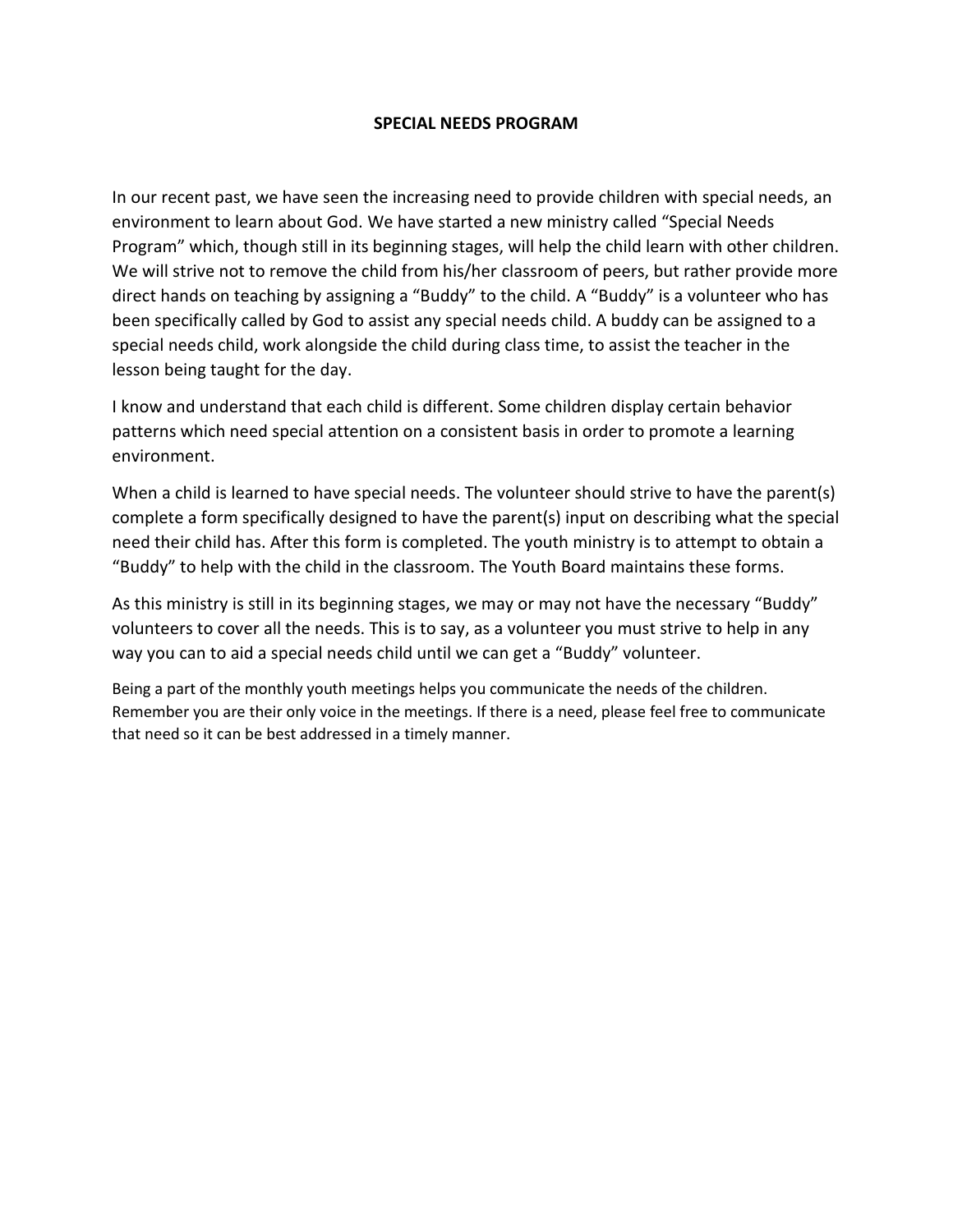#### **SPECIAL NEEDS PROGRAM**

In our recent past, we have seen the increasing need to provide children with special needs, an environment to learn about God. We have started a new ministry called "Special Needs Program" which, though still in its beginning stages, will help the child learn with other children. We will strive not to remove the child from his/her classroom of peers, but rather provide more direct hands on teaching by assigning a "Buddy" to the child. A "Buddy" is a volunteer who has been specifically called by God to assist any special needs child. A buddy can be assigned to a special needs child, work alongside the child during class time, to assist the teacher in the lesson being taught for the day.

I know and understand that each child is different. Some children display certain behavior patterns which need special attention on a consistent basis in order to promote a learning environment.

When a child is learned to have special needs. The volunteer should strive to have the parent(s) complete a form specifically designed to have the parent(s) input on describing what the special need their child has. After this form is completed. The youth ministry is to attempt to obtain a "Buddy" to help with the child in the classroom. The Youth Board maintains these forms.

As this ministry is still in its beginning stages, we may or may not have the necessary "Buddy" volunteers to cover all the needs. This is to say, as a volunteer you must strive to help in any way you can to aid a special needs child until we can get a "Buddy" volunteer.

Being a part of the monthly youth meetings helps you communicate the needs of the children. Remember you are their only voice in the meetings. If there is a need, please feel free to communicate that need so it can be best addressed in a timely manner.